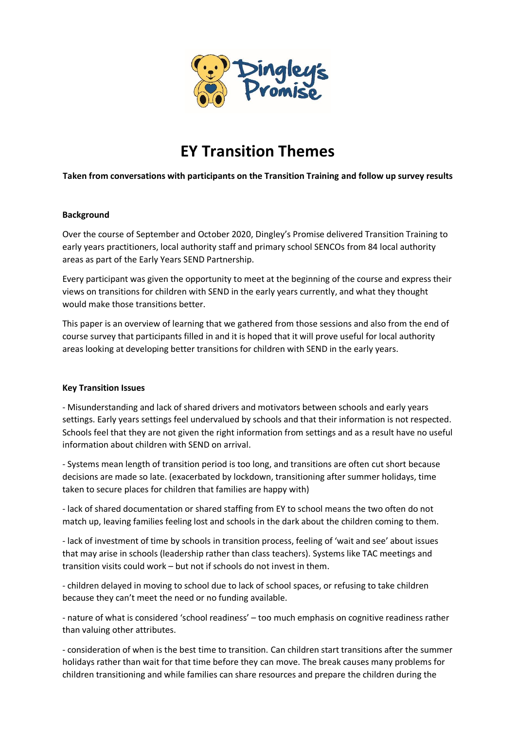

# **EY Transition Themes**

# **Taken from conversations with participants on the Transition Training and follow up survey results**

## **Background**

Over the course of September and October 2020, Dingley's Promise delivered Transition Training to early years practitioners, local authority staff and primary school SENCOs from 84 local authority areas as part of the Early Years SEND Partnership.

Every participant was given the opportunity to meet at the beginning of the course and express their views on transitions for children with SEND in the early years currently, and what they thought would make those transitions better.

This paper is an overview of learning that we gathered from those sessions and also from the end of course survey that participants filled in and it is hoped that it will prove useful for local authority areas looking at developing better transitions for children with SEND in the early years.

#### **Key Transition Issues**

- Misunderstanding and lack of shared drivers and motivators between schools and early years settings. Early years settings feel undervalued by schools and that their information is not respected. Schools feel that they are not given the right information from settings and as a result have no useful information about children with SEND on arrival.

- Systems mean length of transition period is too long, and transitions are often cut short because decisions are made so late. (exacerbated by lockdown, transitioning after summer holidays, time taken to secure places for children that families are happy with)

- lack of shared documentation or shared staffing from EY to school means the two often do not match up, leaving families feeling lost and schools in the dark about the children coming to them.

- lack of investment of time by schools in transition process, feeling of 'wait and see' about issues that may arise in schools (leadership rather than class teachers). Systems like TAC meetings and transition visits could work – but not if schools do not invest in them.

- children delayed in moving to school due to lack of school spaces, or refusing to take children because they can't meet the need or no funding available.

- nature of what is considered 'school readiness' – too much emphasis on cognitive readiness rather than valuing other attributes.

- consideration of when is the best time to transition. Can children start transitions after the summer holidays rather than wait for that time before they can move. The break causes many problems for children transitioning and while families can share resources and prepare the children during the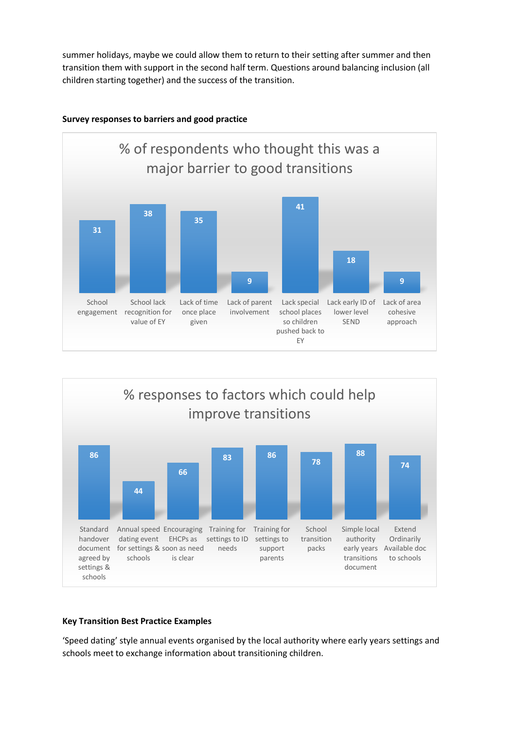summer holidays, maybe we could allow them to return to their setting after summer and then transition them with support in the second half term. Questions around balancing inclusion (all children starting together) and the success of the transition.



## **Survey responses to barriers and good practice**



#### **Key Transition Best Practice Examples**

'Speed dating' style annual events organised by the local authority where early years settings and schools meet to exchange information about transitioning children.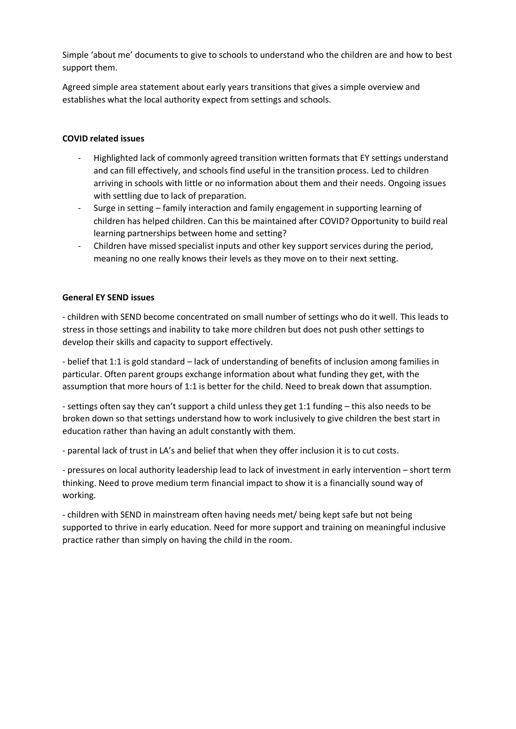Simple 'about me' documents to give to schools to understand who the children are and how to best support them.

Agreed simple area statement about early years transitions that gives a simple overview and establishes what the local authority expect from settings and schools.

# **COVID related issues**

- Highlighted lack of commonly agreed transition written formats that EY settings understand and can fill effectively, and schools find useful in the transition process. Led to children arriving in schools with little or no information about them and their needs. Ongoing issues with settling due to lack of preparation.
- Surge in setting family interaction and family engagement in supporting learning of children has helped children. Can this be maintained after COVID? Opportunity to build real learning partnerships between home and setting?
- Children have missed specialist inputs and other key support services during the period, meaning no one really knows their levels as they move on to their next setting.

## **General EY SEND issues**

- children with SEND become concentrated on small number of settings who do it well. This leads to stress in those settings and inability to take more children but does not push other settings to develop their skills and capacity to support effectively.

- belief that 1:1 is gold standard – lack of understanding of benefits of inclusion among families in particular. Often parent groups exchange information about what funding they get, with the assumption that more hours of 1:1 is better for the child. Need to break down that assumption.

- settings often say they can't support a child unless they get 1:1 funding – this also needs to be broken down so that settings understand how to work inclusively to give children the best start in education rather than having an adult constantly with them.

- parental lack of trust in LA's and belief that when they offer inclusion it is to cut costs.

- pressures on local authority leadership lead to lack of investment in early intervention – short term thinking. Need to prove medium term financial impact to show it is a financially sound way of working.

- children with SEND in mainstream often having needs met/ being kept safe but not being supported to thrive in early education. Need for more support and training on meaningful inclusive practice rather than simply on having the child in the room.